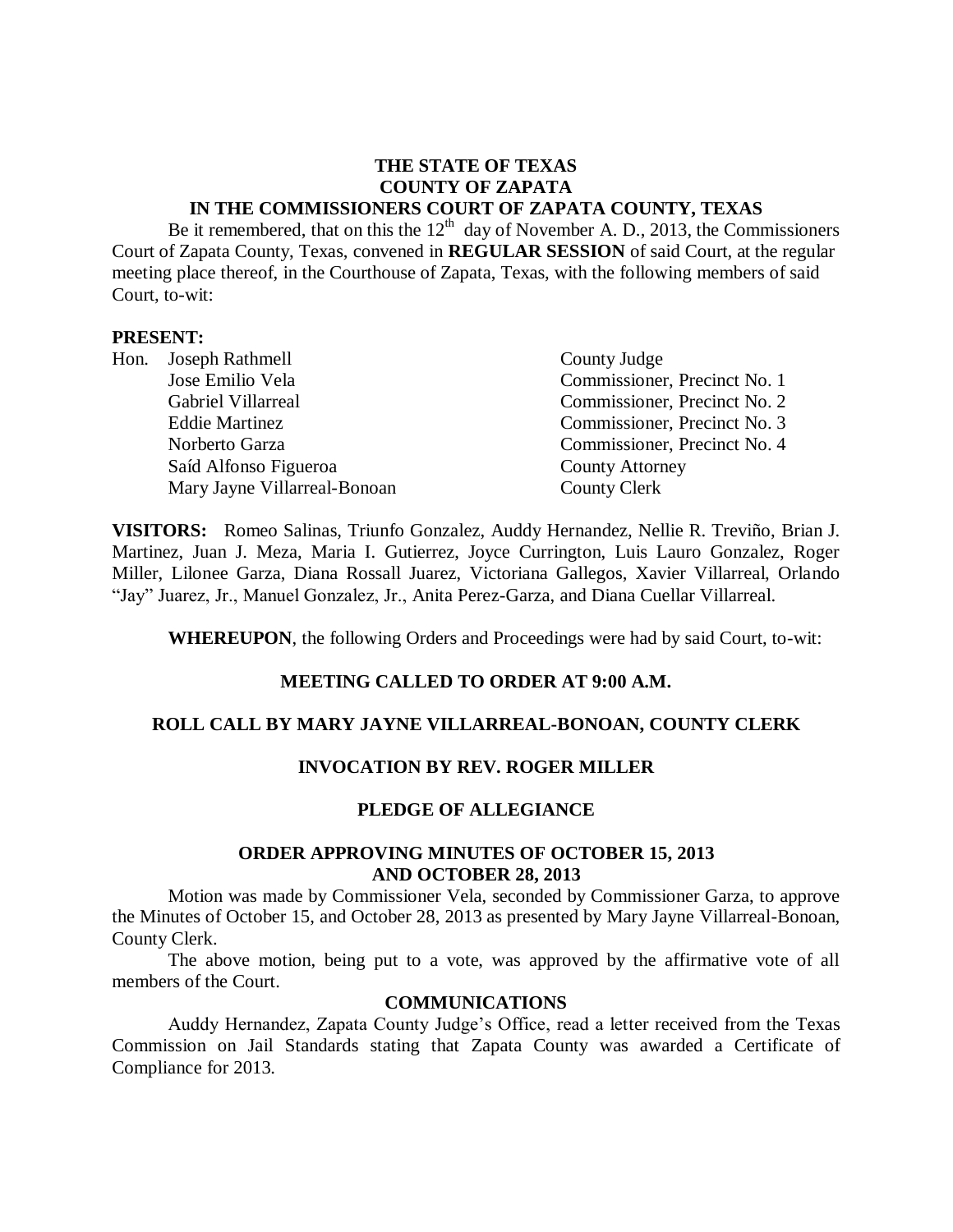# **THE STATE OF TEXAS COUNTY OF ZAPATA IN THE COMMISSIONERS COURT OF ZAPATA COUNTY, TEXAS**

Be it remembered, that on this the  $12<sup>th</sup>$  day of November A. D., 2013, the Commissioners Court of Zapata County, Texas, convened in **REGULAR SESSION** of said Court, at the regular meeting place thereof, in the Courthouse of Zapata, Texas, with the following members of said Court, to-wit:

#### **PRESENT:**

| Hon. Joseph Rathmell         | County Judge                 |
|------------------------------|------------------------------|
| Jose Emilio Vela             | Commissioner, Precinct No. 1 |
| Gabriel Villarreal           | Commissioner, Precinct No. 2 |
| <b>Eddie Martinez</b>        | Commissioner, Precinct No. 3 |
| Norberto Garza               | Commissioner, Precinct No. 4 |
| Saíd Alfonso Figueroa        | <b>County Attorney</b>       |
| Mary Jayne Villarreal-Bonoan | <b>County Clerk</b>          |

**VISITORS:** Romeo Salinas, Triunfo Gonzalez, Auddy Hernandez, Nellie R. Treviño, Brian J. Martinez, Juan J. Meza, Maria I. Gutierrez, Joyce Currington, Luis Lauro Gonzalez, Roger Miller, Lilonee Garza, Diana Rossall Juarez, Victoriana Gallegos, Xavier Villarreal, Orlando "Jay" Juarez, Jr., Manuel Gonzalez, Jr., Anita Perez-Garza, and Diana Cuellar Villarreal.

**WHEREUPON**, the following Orders and Proceedings were had by said Court, to-wit:

## **MEETING CALLED TO ORDER AT 9:00 A.M.**

## **ROLL CALL BY MARY JAYNE VILLARREAL-BONOAN, COUNTY CLERK**

## **INVOCATION BY REV. ROGER MILLER**

## **PLEDGE OF ALLEGIANCE**

#### **ORDER APPROVING MINUTES OF OCTOBER 15, 2013 AND OCTOBER 28, 2013**

Motion was made by Commissioner Vela, seconded by Commissioner Garza, to approve the Minutes of October 15, and October 28, 2013 as presented by Mary Jayne Villarreal-Bonoan, County Clerk.

The above motion, being put to a vote, was approved by the affirmative vote of all members of the Court.

### **COMMUNICATIONS**

Auddy Hernandez, Zapata County Judge's Office, read a letter received from the Texas Commission on Jail Standards stating that Zapata County was awarded a Certificate of Compliance for 2013.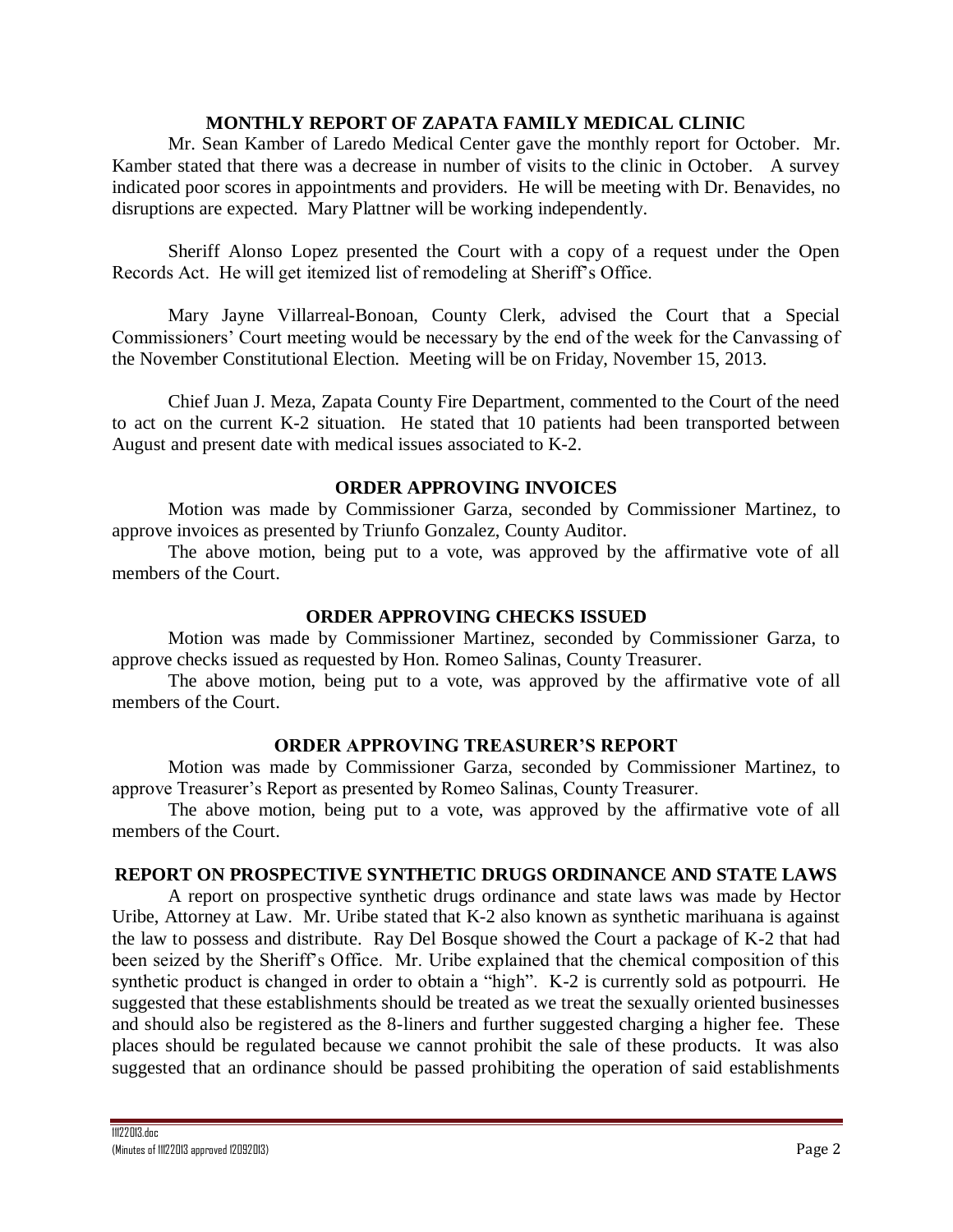## **MONTHLY REPORT OF ZAPATA FAMILY MEDICAL CLINIC**

Mr. Sean Kamber of Laredo Medical Center gave the monthly report for October. Mr. Kamber stated that there was a decrease in number of visits to the clinic in October. A survey indicated poor scores in appointments and providers. He will be meeting with Dr. Benavides, no disruptions are expected. Mary Plattner will be working independently.

Sheriff Alonso Lopez presented the Court with a copy of a request under the Open Records Act. He will get itemized list of remodeling at Sheriff's Office.

Mary Jayne Villarreal-Bonoan, County Clerk, advised the Court that a Special Commissioners' Court meeting would be necessary by the end of the week for the Canvassing of the November Constitutional Election. Meeting will be on Friday, November 15, 2013.

Chief Juan J. Meza, Zapata County Fire Department, commented to the Court of the need to act on the current K-2 situation. He stated that 10 patients had been transported between August and present date with medical issues associated to K-2.

# **ORDER APPROVING INVOICES**

Motion was made by Commissioner Garza, seconded by Commissioner Martinez, to approve invoices as presented by Triunfo Gonzalez, County Auditor.

The above motion, being put to a vote, was approved by the affirmative vote of all members of the Court.

# **ORDER APPROVING CHECKS ISSUED**

Motion was made by Commissioner Martinez, seconded by Commissioner Garza, to approve checks issued as requested by Hon. Romeo Salinas, County Treasurer.

The above motion, being put to a vote, was approved by the affirmative vote of all members of the Court.

# **ORDER APPROVING TREASURER'S REPORT**

Motion was made by Commissioner Garza, seconded by Commissioner Martinez, to approve Treasurer's Report as presented by Romeo Salinas, County Treasurer.

The above motion, being put to a vote, was approved by the affirmative vote of all members of the Court.

## **REPORT ON PROSPECTIVE SYNTHETIC DRUGS ORDINANCE AND STATE LAWS**

A report on prospective synthetic drugs ordinance and state laws was made by Hector Uribe, Attorney at Law. Mr. Uribe stated that K-2 also known as synthetic marihuana is against the law to possess and distribute. Ray Del Bosque showed the Court a package of K-2 that had been seized by the Sheriff's Office. Mr. Uribe explained that the chemical composition of this synthetic product is changed in order to obtain a "high". K-2 is currently sold as potpourri. He suggested that these establishments should be treated as we treat the sexually oriented businesses and should also be registered as the 8-liners and further suggested charging a higher fee. These places should be regulated because we cannot prohibit the sale of these products. It was also suggested that an ordinance should be passed prohibiting the operation of said establishments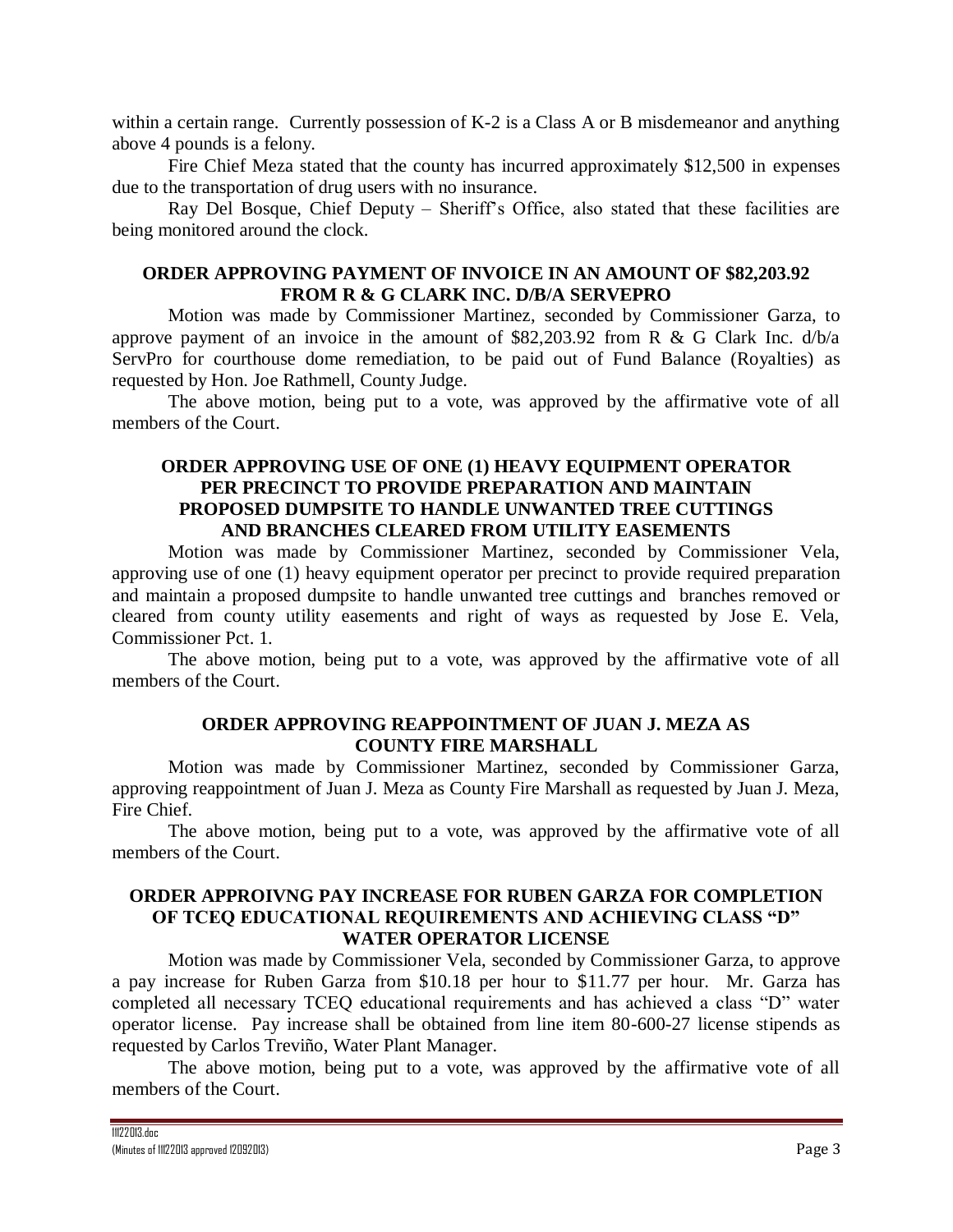within a certain range. Currently possession of K-2 is a Class A or B misdemeanor and anything above 4 pounds is a felony.

Fire Chief Meza stated that the county has incurred approximately \$12,500 in expenses due to the transportation of drug users with no insurance.

Ray Del Bosque, Chief Deputy – Sheriff's Office, also stated that these facilities are being monitored around the clock.

# **ORDER APPROVING PAYMENT OF INVOICE IN AN AMOUNT OF \$82,203.92 FROM R & G CLARK INC. D/B/A SERVEPRO**

Motion was made by Commissioner Martinez, seconded by Commissioner Garza, to approve payment of an invoice in the amount of \$82,203.92 from R & G Clark Inc.  $d/b/a$ ServPro for courthouse dome remediation, to be paid out of Fund Balance (Royalties) as requested by Hon. Joe Rathmell, County Judge.

The above motion, being put to a vote, was approved by the affirmative vote of all members of the Court.

# **ORDER APPROVING USE OF ONE (1) HEAVY EQUIPMENT OPERATOR PER PRECINCT TO PROVIDE PREPARATION AND MAINTAIN PROPOSED DUMPSITE TO HANDLE UNWANTED TREE CUTTINGS AND BRANCHES CLEARED FROM UTILITY EASEMENTS**

Motion was made by Commissioner Martinez, seconded by Commissioner Vela, approving use of one (1) heavy equipment operator per precinct to provide required preparation and maintain a proposed dumpsite to handle unwanted tree cuttings and branches removed or cleared from county utility easements and right of ways as requested by Jose E. Vela, Commissioner Pct. 1.

The above motion, being put to a vote, was approved by the affirmative vote of all members of the Court.

## **ORDER APPROVING REAPPOINTMENT OF JUAN J. MEZA AS COUNTY FIRE MARSHALL**

Motion was made by Commissioner Martinez, seconded by Commissioner Garza, approving reappointment of Juan J. Meza as County Fire Marshall as requested by Juan J. Meza, Fire Chief.

The above motion, being put to a vote, was approved by the affirmative vote of all members of the Court.

# **ORDER APPROIVNG PAY INCREASE FOR RUBEN GARZA FOR COMPLETION OF TCEQ EDUCATIONAL REQUIREMENTS AND ACHIEVING CLASS "D" WATER OPERATOR LICENSE**

Motion was made by Commissioner Vela, seconded by Commissioner Garza, to approve a pay increase for Ruben Garza from \$10.18 per hour to \$11.77 per hour. Mr. Garza has completed all necessary TCEQ educational requirements and has achieved a class "D" water operator license. Pay increase shall be obtained from line item 80-600-27 license stipends as requested by Carlos Treviño, Water Plant Manager.

The above motion, being put to a vote, was approved by the affirmative vote of all members of the Court.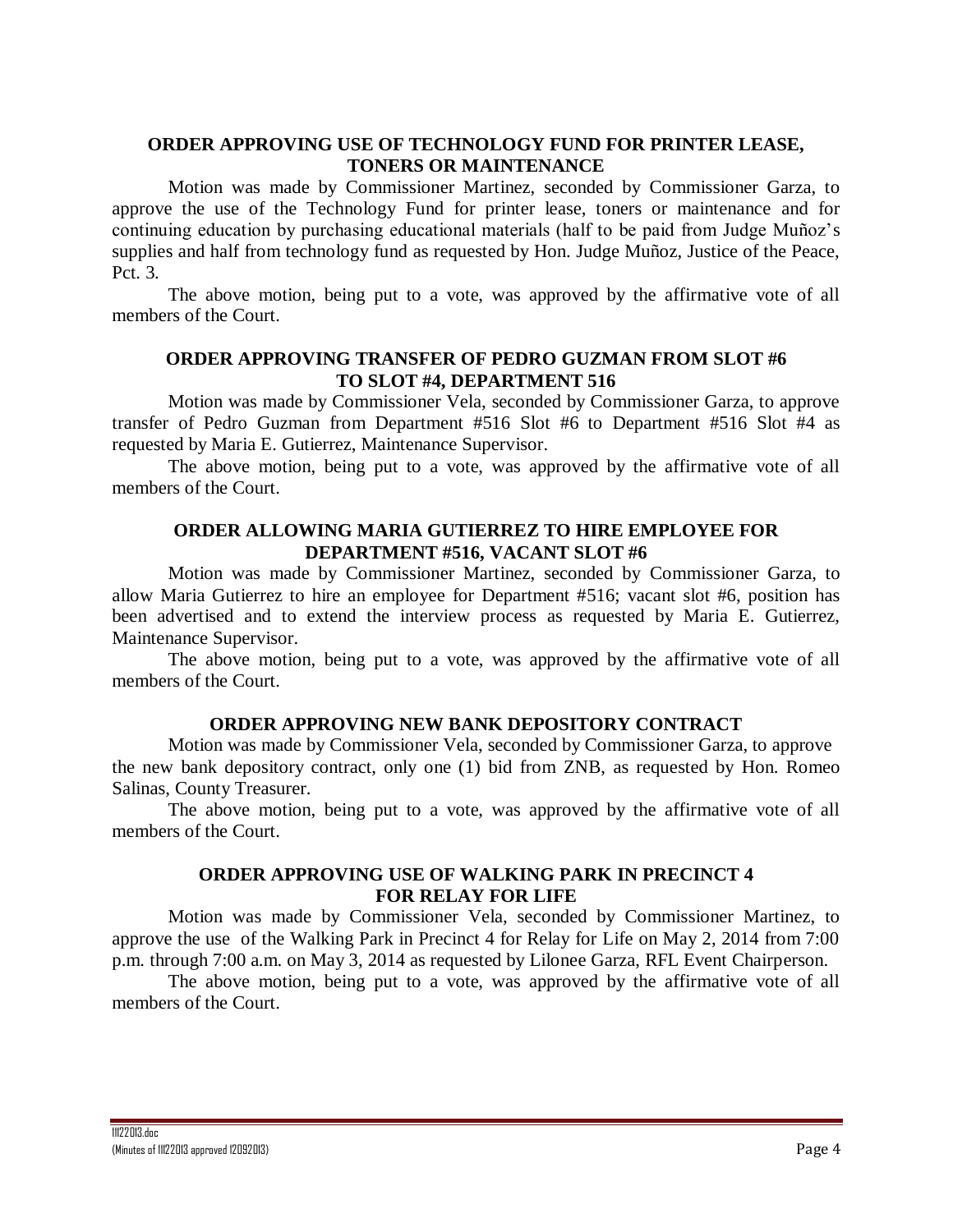# **ORDER APPROVING USE OF TECHNOLOGY FUND FOR PRINTER LEASE, TONERS OR MAINTENANCE**

Motion was made by Commissioner Martinez, seconded by Commissioner Garza, to approve the use of the Technology Fund for printer lease, toners or maintenance and for continuing education by purchasing educational materials (half to be paid from Judge Muñoz's supplies and half from technology fund as requested by Hon. Judge Muñoz, Justice of the Peace, Pct. 3.

The above motion, being put to a vote, was approved by the affirmative vote of all members of the Court.

## **ORDER APPROVING TRANSFER OF PEDRO GUZMAN FROM SLOT #6 TO SLOT #4, DEPARTMENT 516**

Motion was made by Commissioner Vela, seconded by Commissioner Garza, to approve transfer of Pedro Guzman from Department #516 Slot #6 to Department #516 Slot #4 as requested by Maria E. Gutierrez, Maintenance Supervisor.

The above motion, being put to a vote, was approved by the affirmative vote of all members of the Court.

# **ORDER ALLOWING MARIA GUTIERREZ TO HIRE EMPLOYEE FOR DEPARTMENT #516, VACANT SLOT #6**

Motion was made by Commissioner Martinez, seconded by Commissioner Garza, to allow Maria Gutierrez to hire an employee for Department #516; vacant slot #6, position has been advertised and to extend the interview process as requested by Maria E. Gutierrez, Maintenance Supervisor.

The above motion, being put to a vote, was approved by the affirmative vote of all members of the Court.

## **ORDER APPROVING NEW BANK DEPOSITORY CONTRACT**

Motion was made by Commissioner Vela, seconded by Commissioner Garza, to approve the new bank depository contract, only one (1) bid from ZNB, as requested by Hon. Romeo Salinas, County Treasurer.

The above motion, being put to a vote, was approved by the affirmative vote of all members of the Court.

## **ORDER APPROVING USE OF WALKING PARK IN PRECINCT 4 FOR RELAY FOR LIFE**

Motion was made by Commissioner Vela, seconded by Commissioner Martinez, to approve the use of the Walking Park in Precinct 4 for Relay for Life on May 2, 2014 from 7:00 p.m. through 7:00 a.m. on May 3, 2014 as requested by Lilonee Garza, RFL Event Chairperson.

The above motion, being put to a vote, was approved by the affirmative vote of all members of the Court.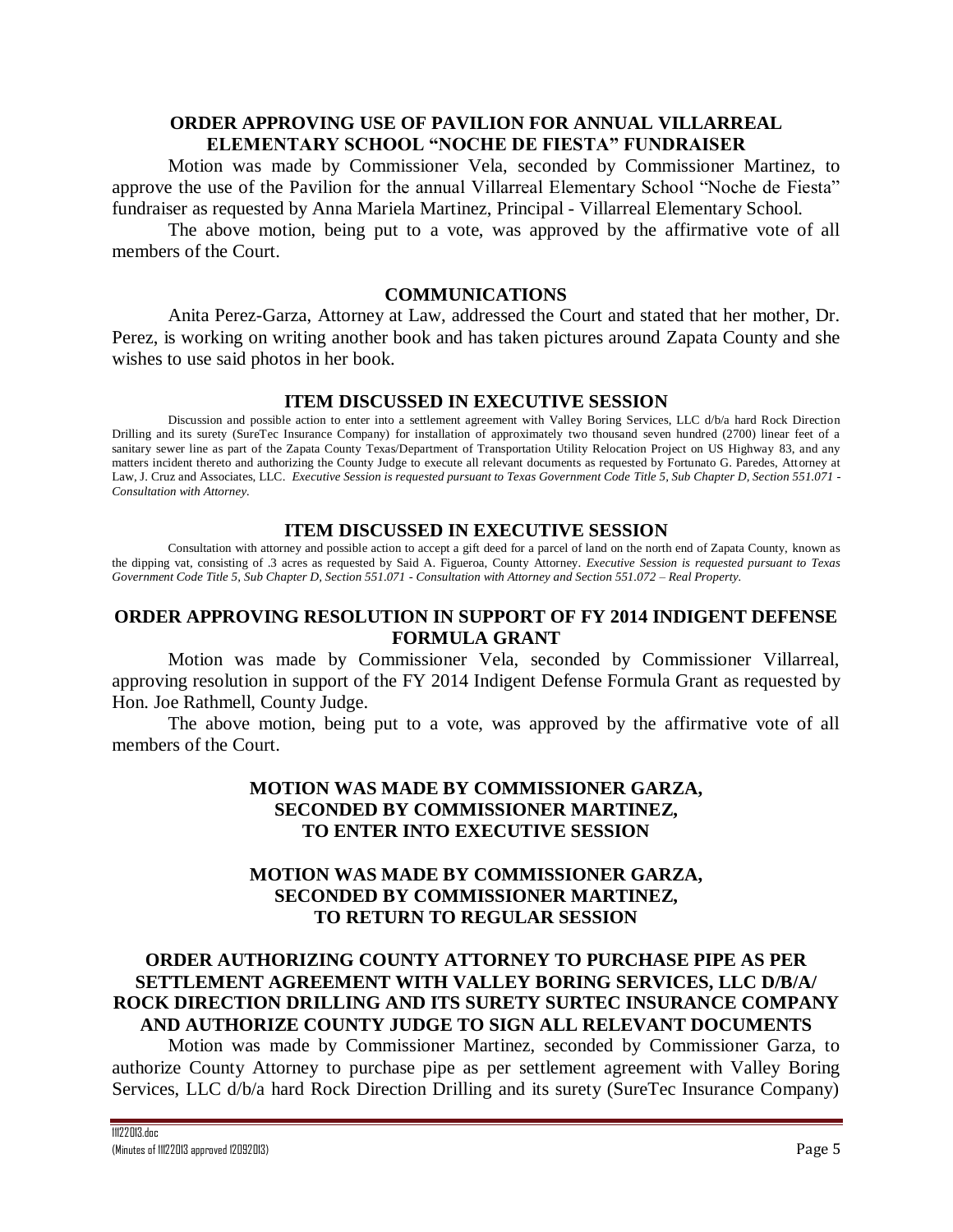## **ORDER APPROVING USE OF PAVILION FOR ANNUAL VILLARREAL ELEMENTARY SCHOOL "NOCHE DE FIESTA" FUNDRAISER**

Motion was made by Commissioner Vela, seconded by Commissioner Martinez, to approve the use of the Pavilion for the annual Villarreal Elementary School "Noche de Fiesta" fundraiser as requested by Anna Mariela Martinez, Principal - Villarreal Elementary School.

The above motion, being put to a vote, was approved by the affirmative vote of all members of the Court.

#### **COMMUNICATIONS**

Anita Perez-Garza, Attorney at Law, addressed the Court and stated that her mother, Dr. Perez, is working on writing another book and has taken pictures around Zapata County and she wishes to use said photos in her book.

### **ITEM DISCUSSED IN EXECUTIVE SESSION**

Discussion and possible action to enter into a settlement agreement with Valley Boring Services, LLC d/b/a hard Rock Direction Drilling and its surety (SureTec Insurance Company) for installation of approximately two thousand seven hundred (2700) linear feet of a sanitary sewer line as part of the Zapata County Texas/Department of Transportation Utility Relocation Project on US Highway 83, and any matters incident thereto and authorizing the County Judge to execute all relevant documents as requested by Fortunato G. Paredes, Attorney at Law, J. Cruz and Associates, LLC. *Executive Session is requested pursuant to Texas Government Code Title 5, Sub Chapter D, Section 551.071 - Consultation with Attorney.*

### **ITEM DISCUSSED IN EXECUTIVE SESSION**

Consultation with attorney and possible action to accept a gift deed for a parcel of land on the north end of Zapata County, known as the dipping vat, consisting of .3 acres as requested by Said A. Figueroa, County Attorney. *Executive Session is requested pursuant to Texas Government Code Title 5, Sub Chapter D, Section 551.071 - Consultation with Attorney and Section 551.072 – Real Property.*

## **ORDER APPROVING RESOLUTION IN SUPPORT OF FY 2014 INDIGENT DEFENSE FORMULA GRANT**

Motion was made by Commissioner Vela, seconded by Commissioner Villarreal, approving resolution in support of the FY 2014 Indigent Defense Formula Grant as requested by Hon. Joe Rathmell, County Judge.

The above motion, being put to a vote, was approved by the affirmative vote of all members of the Court.

# **MOTION WAS MADE BY COMMISSIONER GARZA, SECONDED BY COMMISSIONER MARTINEZ, TO ENTER INTO EXECUTIVE SESSION**

# **MOTION WAS MADE BY COMMISSIONER GARZA, SECONDED BY COMMISSIONER MARTINEZ, TO RETURN TO REGULAR SESSION**

# **ORDER AUTHORIZING COUNTY ATTORNEY TO PURCHASE PIPE AS PER SETTLEMENT AGREEMENT WITH VALLEY BORING SERVICES, LLC D/B/A/ ROCK DIRECTION DRILLING AND ITS SURETY SURTEC INSURANCE COMPANY AND AUTHORIZE COUNTY JUDGE TO SIGN ALL RELEVANT DOCUMENTS**

Motion was made by Commissioner Martinez, seconded by Commissioner Garza, to authorize County Attorney to purchase pipe as per settlement agreement with Valley Boring Services, LLC d/b/a hard Rock Direction Drilling and its surety (SureTec Insurance Company)